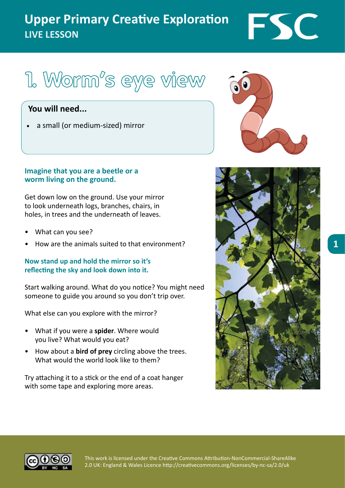## **Upper Primary Creative Exploration LIVE LESSON**

# 1. Worm<sup>'</sup>s eye view

### **You will need...**

a small (or medium-sized) mirror

#### **Imagine that you are a beetle or a worm living on the ground.**

Get down low on the ground. Use your mirror to look underneath logs, branches, chairs, in holes, in trees and the underneath of leaves.

- What can you see?
- How are the animals suited to that environment?

#### **Now stand up and hold the mirror so it's reflecting the sky and look down into it.**

Start walking around. What do you notice? You might need someone to guide you around so you don't trip over.

What else can you explore with the mirror?

- What if you were a **spider**. Where would you live? What would you eat?
- • How about a **bird of prey** circling above the trees. What would the world look like to them?

Try attaching it to a stick or the end of a coat hanger with some tape and exploring more areas.



FSC





This work is licensed under the Creative Commons Attribution-NonCommercial-ShareAlike 2.0 UK: England & Wales Licence http://creativecommons.org/licenses/by-nc-sa/2.0/uk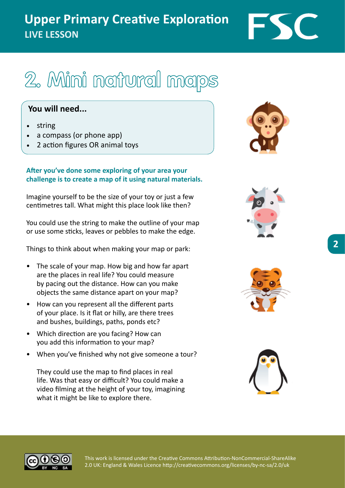## **Upper Primary Creative Exploration LIVE LESSON**



#### **You will need...**

- string
- a compass (or phone app)
- 2 action figures OR animal toys

#### **After you've done some exploring of your area your challenge is to create a map of it using natural materials.**

Imagine yourself to be the size of your toy or just a few centimetres tall. What might this place look like then?

You could use the string to make the outline of your map or use some sticks, leaves or pebbles to make the edge.

Things to think about when making your map or park:

- The scale of your map. How big and how far apart are the places in real life? You could measure by pacing out the distance. How can you make objects the same distance apart on your map?
- How can you represent all the different parts of your place. Is it flat or hilly, are there trees and bushes, buildings, paths, ponds etc?
- Which direction are you facing? How can you add this information to your map?
- When you've finished why not give someone a tour?

They could use the map to find places in real life. Was that easy or difficult? You could make a video filming at the height of your toy, imagining what it might be like to explore there.











This work is licensed under the Creative Commons Attribution-NonCommercial-ShareAlike 2.0 UK: England & Wales Licence http://creativecommons.org/licenses/by-nc-sa/2.0/uk